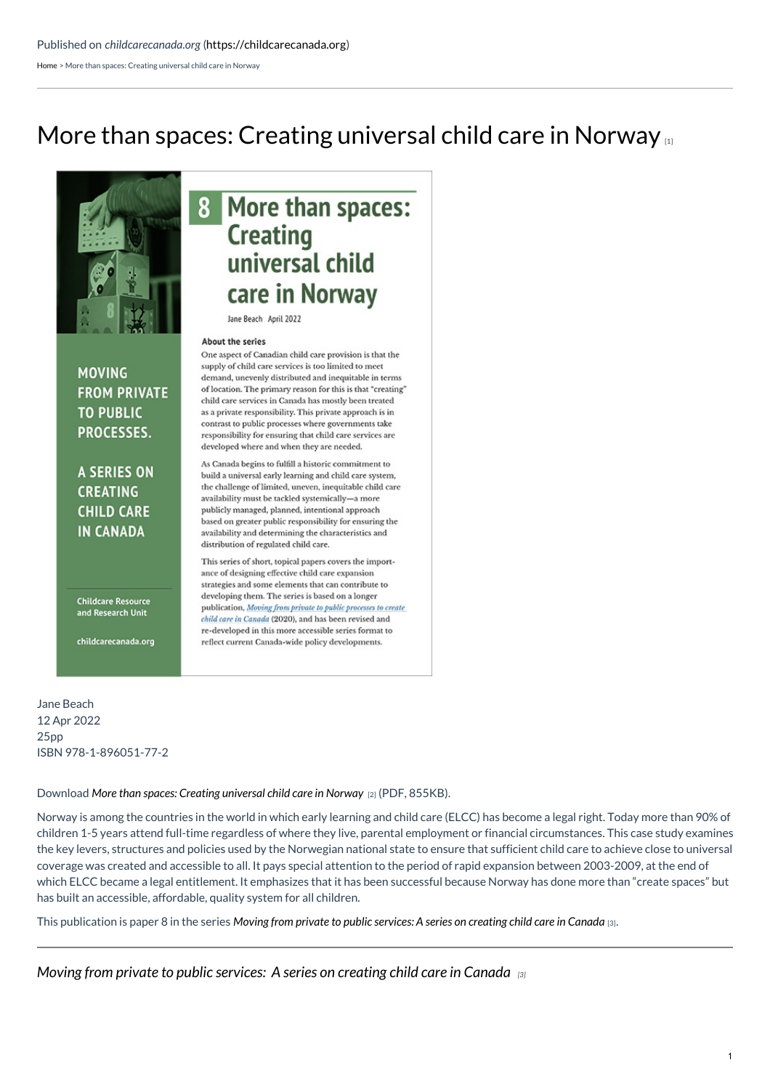[Home](https://childcarecanada.org/) > More than spaces: Creating universal child care in Norway

## More than spaces: Creating [universal](https://childcarecanada.org/publications/other-publications/22/04/more-spaces-creating-universal-child-care-norway) child care in Norway



**MOVING** 

**TO PUBLIC** 

PROCESSES.

**A SERIES ON** 

**CREATING** 

**CHILD CARE** 

**IN CANADA** 

**FROM PRIVATE** 

## More than spaces: **Creating** universal child care in Norway

Jane Beach April 2022

## About the series

One aspect of Canadian child care provision is that the supply of child care services is too limited to meet demand, unevenly distributed and inequitable in terms of location. The primary reason for this is that "creating" child care services in Canada has mostly been treated as a private responsibility. This private approach is in contrast to public processes where governments take responsibility for ensuring that child care services are developed where and when they are needed.

As Canada begins to fulfill a historic commitment to build a universal early learning and child care system, the challenge of limited, uneven, inequitable child care availability must be tackled systemically-a more publicly managed, planned, intentional approach based on greater public responsibility for ensuring the availability and determining the characteristics and distribution of regulated child care.

This series of short, topical papers covers the importance of designing effective child care expansion strategies and some elements that can contribute to developing them. The series is based on a longer publication, Moving from private to public processes to create child care in Canada (2020), and has been revised and re-developed in this more accessible series format to reflect current Canada-wide policy developments.

**Childcare Resource** and Research Unit

childcarecanada.org

Jane Beach 12 Apr 2022 25pp ISBN 978-1-896051-77-2

Download *More than spaces: Creating [universal](https://childcarecanada.org/sites/default/files/SERIES-Paper-8-More-than-spaces-universal-child-care-in-Norway.pdf) child care in Norway* [2] (PDF, 855KB).

Norway is among the countries in the world in which early learning and child care (ELCC) has become a legal right. Today more than 90% of children 1-5 years attend full-time regardless of where they live, parental employment or financial circumstances. This case study examines the key levers, structures and policies used by the Norwegian national state to ensure that sufficient child care to achieve close to universal coverage was created and accessible to all. It pays special attention to the period of rapid expansion between 2003-2009, at the end of which ELCC became a legal entitlement. It emphasizes that it has been successful because Norway has done more than "create spaces" but has built an accessible, affordable, quality system for all children.

This publication is paper 8 in the series Moving from private to public [services:](https://childcarecanada.org/publications/other-publications/22/01/moving-private-public-processes-series-creating-child-care) A series on creating child care in Canada [3].

*Moving from private to public [services:](https://childcarecanada.org/publications/other-publications/22/01/moving-private-public-processes-series-creating-child-care) A series on creating child care in Canada [3]*